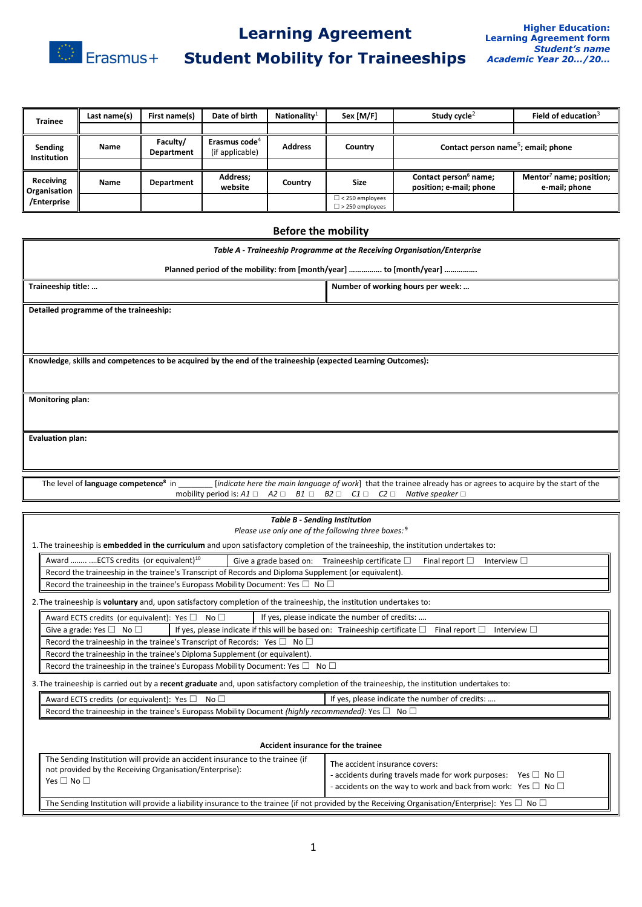

## **Learning Agreement**

# **Student Mobility for Traineeships**

| <b>Trainee</b>                                  | Last name(s) | First name(s)          | Date of birth                                | Nationality <sup>1</sup> | Sex [M/F]                                        | Study cycle <sup>2</sup>                                     | Field of education <sup>3</sup>                      |
|-------------------------------------------------|--------------|------------------------|----------------------------------------------|--------------------------|--------------------------------------------------|--------------------------------------------------------------|------------------------------------------------------|
|                                                 |              |                        |                                              |                          |                                                  |                                                              |                                                      |
| Sending<br><b>Institution</b>                   | Name         | Faculty/<br>Department | Erasmus code <sup>4</sup><br>(if applicable) | <b>Address</b>           | Country                                          | Contact person name <sup>5</sup> ; email; phone              |                                                      |
|                                                 |              |                        |                                              |                          |                                                  |                                                              |                                                      |
| Receiving<br><b>Organisation</b><br>/Enterprise | Name         | Department             | Address;<br>website                          | Country                  | <b>Size</b>                                      | Contact person <sup>6</sup> name;<br>position; e-mail; phone | Mentor <sup>7</sup> name; position;<br>e-mail; phone |
|                                                 |              |                        |                                              |                          | $\Box$ < 250 employees<br>$\Box$ > 250 employees |                                                              |                                                      |
| <b>Before the mobility</b>                      |              |                        |                                              |                          |                                                  |                                                              |                                                      |

# *Table A - Traineeship Programme at the Receiving Organisation/Enterprise* **Planned period of the mobility: from [month/year] ……………. to [month/year] ……………. Traineeship title: … Number of working hours per week: … Number of working hours per week: … Detailed programme of the traineeship: Knowledge**, **skills and competences to be acquired by the end of the traineeship (expected Learning Outcomes): Monitoring plan: Evaluation plan:** The level of **language competence<sup>8</sup>** [*indicate here the main language of work*] that the trainee already has or agrees to acquire by the start of the mobility period is: *A1* ☐ *A2* ☐ *B1* ☐ *B2* ☐ *C1* ☐ *C2* ☐ *Native speaker* ☐ *Table B - Sending Institution Please use only one of the following three boxes:* **<sup>9</sup>** 1.The traineeship is **embedded in the curriculum** and upon satisfactory completion of the traineeship, the institution undertakes to: Award …….. ....ECTS credits (or equivalent)<sup>10</sup> Give a grade based on: Traineeship certificate □ Final report □ Interview □ Record the traineeship in the trainee's Transcript of Records and Diploma Supplement (or equivalent). Record the traineeship in the trainee's Europass Mobility Document: Yes  $\Box$  No  $\Box$ 2.The traineeship is **voluntary** and, upon satisfactory completion of the traineeship, the institution undertakes to: Award ECTS credits (or equivalent): Yes  $\Box$  No  $\Box$  If yes, please indicate the number of credits: Give a grade: Yes □ No □ If yes, please indicate if this will be based on: Traineeship certificate □ Final report □ Interview □ Record the traineeship in the trainee's Transcript of Records: Yes  $\square$  No  $\square$

Record the traineeship in the trainee's Diploma Supplement (or equivalent). Record the traineeship in the trainee's Europass Mobility Document: Yes  $\square$  No  $\square$ 

3.The traineeship is carried out by a **recent graduate** and, upon satisfactory completion of the traineeship, the institution undertakes to:

| Award ECTS credits (or equivalent): Yes $\square$ No $\square$                                              | If yes, please indicate the number of credits: |  |  |
|-------------------------------------------------------------------------------------------------------------|------------------------------------------------|--|--|
| <b>Record the traineeship in the trainee's Europass Mobility Document (highly recommended): Yes</b><br>No L |                                                |  |  |

| Accident insurance for the trainee                                                                                                                               |                                                                                                                                                                                            |  |  |  |
|------------------------------------------------------------------------------------------------------------------------------------------------------------------|--------------------------------------------------------------------------------------------------------------------------------------------------------------------------------------------|--|--|--|
| The Sending Institution will provide an accident insurance to the trainee (if<br>not provided by the Receiving Organisation/Enterprise):<br>Yes $\Box$ No $\Box$ | The accident insurance covers:<br>- accidents during travels made for work purposes: Yes $\Box$ No $\Box$<br>- accidents on the way to work and back from work: Yes $\square$ No $\square$ |  |  |  |
| The Sending Institution will provide a liability insurance to the trainee (if not provided by the Receiving Organisation/Enterprise): Yes $\Box$ No $\Box$       |                                                                                                                                                                                            |  |  |  |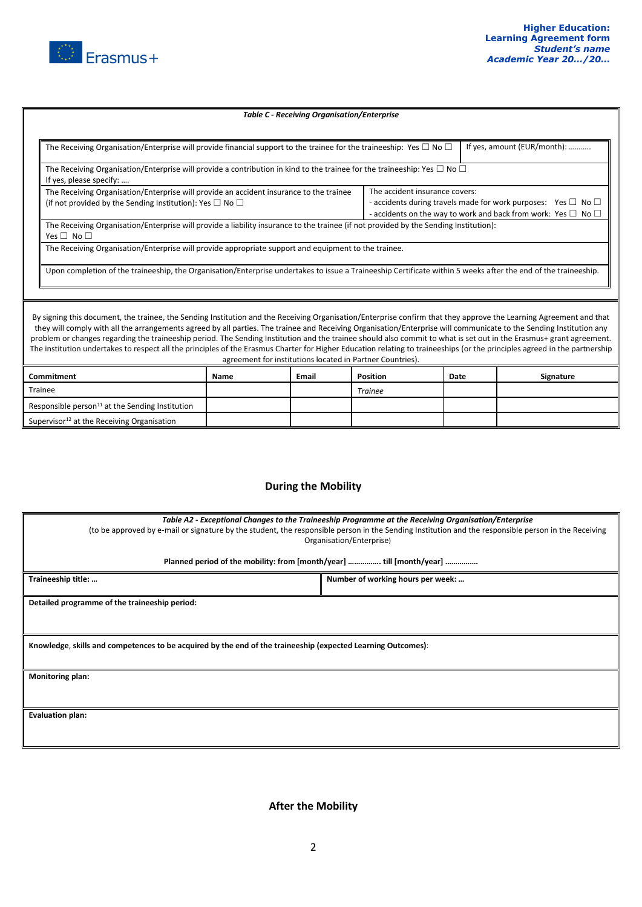

Responsible person $^{11}$  at the Sending Institution Supervisor $^{12}$  at the Receiving Organisation

#### *Table C - Receiving Organisation/Enterprise*

| The Receiving Organisation/Enterprise will provide financial support to the trainee for the traineeship: Yes $\Box$ No $\Box$                                                                                                                                                                                                                                                                                                                                                                                                                                                                                                                                                                                                                               |      |       |                 |      | If yes, amount (EUR/month): |
|-------------------------------------------------------------------------------------------------------------------------------------------------------------------------------------------------------------------------------------------------------------------------------------------------------------------------------------------------------------------------------------------------------------------------------------------------------------------------------------------------------------------------------------------------------------------------------------------------------------------------------------------------------------------------------------------------------------------------------------------------------------|------|-------|-----------------|------|-----------------------------|
| The Receiving Organisation/Enterprise will provide a contribution in kind to the trainee for the traineeship: Yes $\Box$ No $\Box$<br>If yes, please specify:                                                                                                                                                                                                                                                                                                                                                                                                                                                                                                                                                                                               |      |       |                 |      |                             |
| The Receiving Organisation/Enterprise will provide an accident insurance to the trainee<br>The accident insurance covers:<br>- accidents during travels made for work purposes: Yes $\square$ No $\square$<br>(if not provided by the Sending Institution): Yes $\Box$ No $\Box$<br>- accidents on the way to work and back from work: Yes $\square$ No $\square$                                                                                                                                                                                                                                                                                                                                                                                           |      |       |                 |      |                             |
| The Receiving Organisation/Enterprise will provide a liability insurance to the trainee (if not provided by the Sending Institution):<br>Yes $\Box$ No $\Box$                                                                                                                                                                                                                                                                                                                                                                                                                                                                                                                                                                                               |      |       |                 |      |                             |
| The Receiving Organisation/Enterprise will provide appropriate support and equipment to the trainee.<br>Upon completion of the traineeship, the Organisation/Enterprise undertakes to issue a Traineeship Certificate within 5 weeks after the end of the traineeship.                                                                                                                                                                                                                                                                                                                                                                                                                                                                                      |      |       |                 |      |                             |
| By signing this document, the trainee, the Sending Institution and the Receiving Organisation/Enterprise confirm that they approve the Learning Agreement and that<br>they will comply with all the arrangements agreed by all parties. The trainee and Receiving Organisation/Enterprise will communicate to the Sending Institution any<br>problem or changes regarding the traineeship period. The Sending Institution and the trainee should also commit to what is set out in the Erasmus+ grant agreement.<br>The institution undertakes to respect all the principles of the Erasmus Charter for Higher Education relating to traineeships (or the principles agreed in the partnership<br>agreement for institutions located in Partner Countries). |      |       |                 |      |                             |
| Commitment                                                                                                                                                                                                                                                                                                                                                                                                                                                                                                                                                                                                                                                                                                                                                  | Name | Email | <b>Position</b> | Date | Signature                   |
| Trainee                                                                                                                                                                                                                                                                                                                                                                                                                                                                                                                                                                                                                                                                                                                                                     |      |       | <b>Trainee</b>  |      |                             |

### **During the Mobility**

| Table A2 - Exceptional Changes to the Traineeship Programme at the Receiving Organisation/Enterprise<br>(to be approved by e-mail or signature by the student, the responsible person in the Sending Institution and the responsible person in the Receiving<br>Organisation/Enterprise)<br>Planned period of the mobility: from [month/year]  till [month/year] |                                   |  |  |  |
|------------------------------------------------------------------------------------------------------------------------------------------------------------------------------------------------------------------------------------------------------------------------------------------------------------------------------------------------------------------|-----------------------------------|--|--|--|
| Traineeship title:                                                                                                                                                                                                                                                                                                                                               | Number of working hours per week: |  |  |  |
| Detailed programme of the traineeship period:                                                                                                                                                                                                                                                                                                                    |                                   |  |  |  |
| Knowledge, skills and competences to be acquired by the end of the traineeship (expected Learning Outcomes):                                                                                                                                                                                                                                                     |                                   |  |  |  |
| <b>Monitoring plan:</b>                                                                                                                                                                                                                                                                                                                                          |                                   |  |  |  |
| <b>Evaluation plan:</b>                                                                                                                                                                                                                                                                                                                                          |                                   |  |  |  |

**After the Mobility**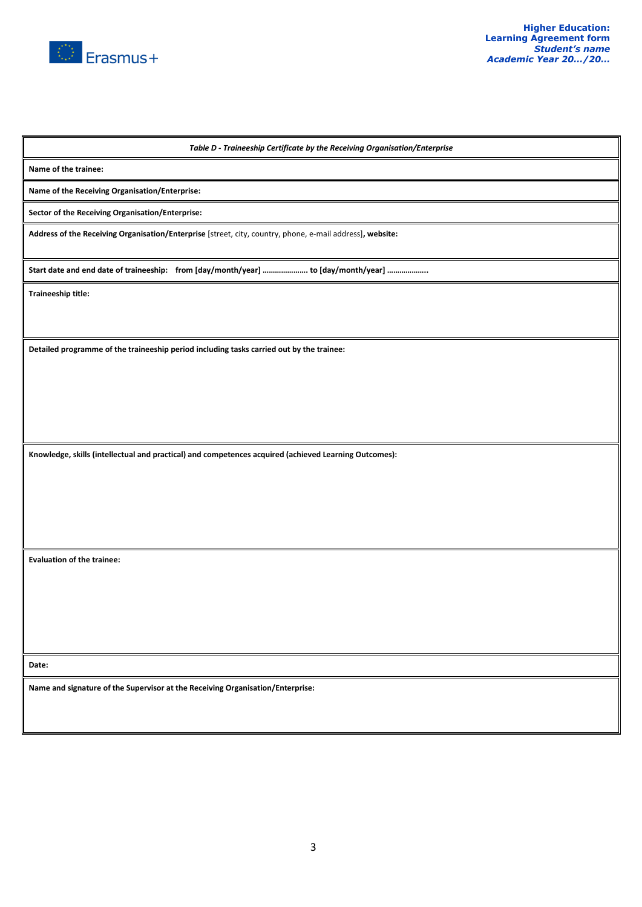

*Table D - Traineeship Certificate by the Receiving Organisation/Enterprise*

**Name of the trainee:**

**Name of the Receiving Organisation/Enterprise:**

**Sector of the Receiving Organisation/Enterprise:**

**Address of the Receiving Organisation/Enterprise** [street, city, country, phone, e-mail address]**, website:**

**Start date and end date of traineeship: from [day/month/year] …………………. to [day/month/year] ………………..**

**Traineeship title:** 

**Detailed programme of the traineeship period including tasks carried out by the trainee:** 

**Knowledge, skills (intellectual and practical) and competences acquired (achieved Learning Outcomes):**

**Evaluation of the trainee:** 

**Date:**

**Name and signature of the Supervisor at the Receiving Organisation/Enterprise:**